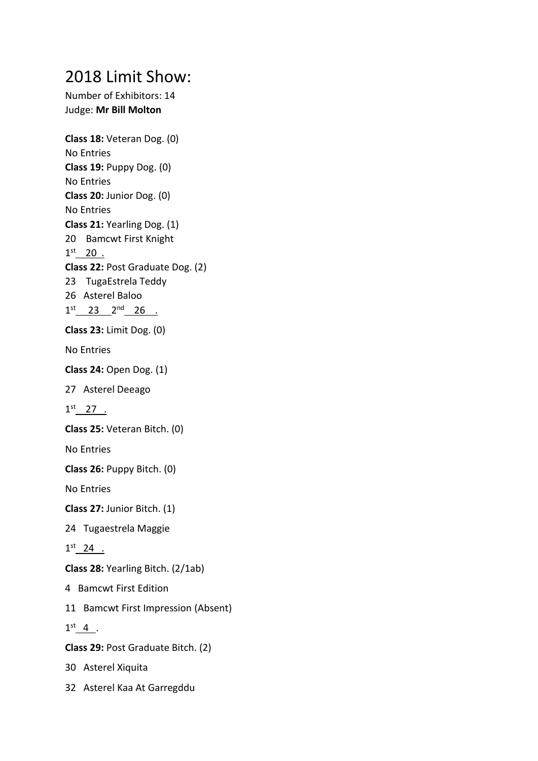## 2018 Limit Show:

Number of Exhibitors: 14 Judge: **Mr Bill Molton**

**Class 18:** Veteran Dog. (0) No Entries **Class 19:** Puppy Dog. (0) No Entries **Class 20:** Junior Dog. (0) No Entries **Class 21:** Yearling Dog. (1) 20 Bamcwt First Knight  $1^{st}$  20. **Class 22:** Post Graduate Dog. (2) 23 TugaEstrela Teddy 26 Asterel Baloo  $1^{st}$  23  $2^{nd}$  26 . **Class 23:** Limit Dog. (0) No Entries **Class 24:** Open Dog. (1) 27 Asterel Deeago  $1^{st}$  27 . **Class 25:** Veteran Bitch. (0) No Entries **Class 26:** Puppy Bitch. (0) No Entries **Class 27:** Junior Bitch. (1) 24 Tugaestrela Maggie  $1^{st}$  24 . **Class 28:** Yearling Bitch. (2/1ab) 4 Bamcwt First Edition 11 Bamcwt First Impression (Absent)  $1<sup>st</sup>$  4. **Class 29:** Post Graduate Bitch. (2) 30 Asterel Xiquita 32 Asterel Kaa At Garregddu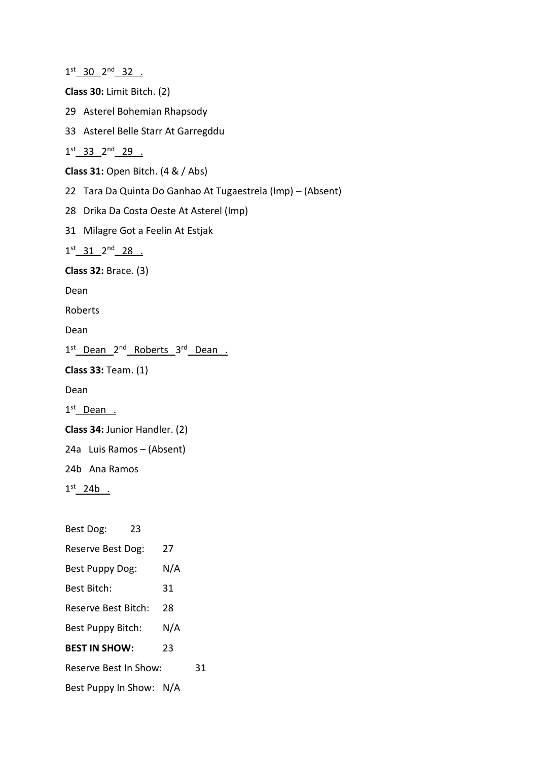$1^{st}$  30  $2^{nd}$  32 . **Class 30:** Limit Bitch. (2) 29 Asterel Bohemian Rhapsody 33 Asterel Belle Starr At Garregddu  $1^{st}$  33  $2^{nd}$  29 . **Class 31:** Open Bitch. (4 & / Abs) 22 Tara Da Quinta Do Ganhao At Tugaestrela (Imp) – (Absent) 28 Drika Da Costa Oeste At Asterel (Imp) 31 Milagre Got a Feelin At Estjak 1st 31 2<sup>nd</sup> 28 . **Class 32:** Brace. (3) Dean Roberts Dean 1<sup>st</sup> Dean 2<sup>nd</sup> Roberts 3<sup>rd</sup> Dean. **Class 33:** Team. (1) Dean 1<sup>st</sup>\_Dean . **Class 34:** Junior Handler. (2) 24a Luis Ramos – (Absent) 24b Ana Ramos  $1<sup>st</sup>$  24b . Best Dog: 23 Reserve Best Dog: 27 Best Puppy Dog: N/A Best Bitch: 31 Reserve Best Bitch: 28 Best Puppy Bitch: N/A **BEST IN SHOW:** 23 Reserve Best In Show: 31 Best Puppy In Show: N/A